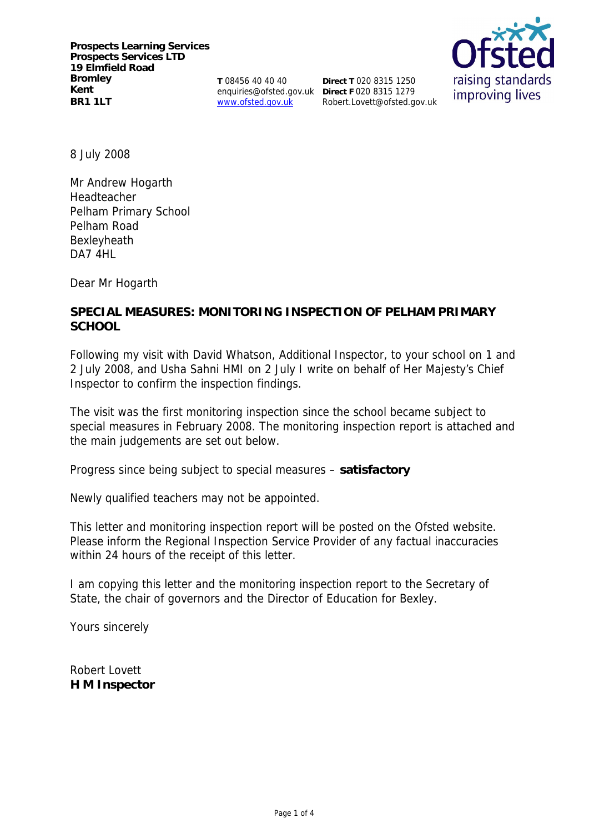**T** 08456 40 40 40 enquiries@ofsted.gov.uk **Direct F** 020 8315 1279 www.ofsted.gov.uk

**Direct T** 020 8315 1250 Robert.Lovett@ofsted.gov.uk



8 July 2008

Mr Andrew Hogarth Headteacher Pelham Primary School Pelham Road Bexleyheath DA7 4HL

Dear Mr Hogarth

**SPECIAL MEASURES: MONITORING INSPECTION OF PELHAM PRIMARY SCHOOL**

Following my visit with David Whatson, Additional Inspector, to your school on 1 and 2 July 2008, and Usha Sahni HMI on 2 July I write on behalf of Her Majesty's Chief Inspector to confirm the inspection findings.

The visit was the first monitoring inspection since the school became subject to special measures in February 2008. The monitoring inspection report is attached and the main judgements are set out below.

Progress since being subject to special measures – **satisfactory**

Newly qualified teachers may not be appointed.

This letter and monitoring inspection report will be posted on the Ofsted website. Please inform the Regional Inspection Service Provider of any factual inaccuracies within 24 hours of the receipt of this letter.

I am copying this letter and the monitoring inspection report to the Secretary of State, the chair of governors and the Director of Education for Bexley.

Yours sincerely

Robert Lovett **H M Inspector**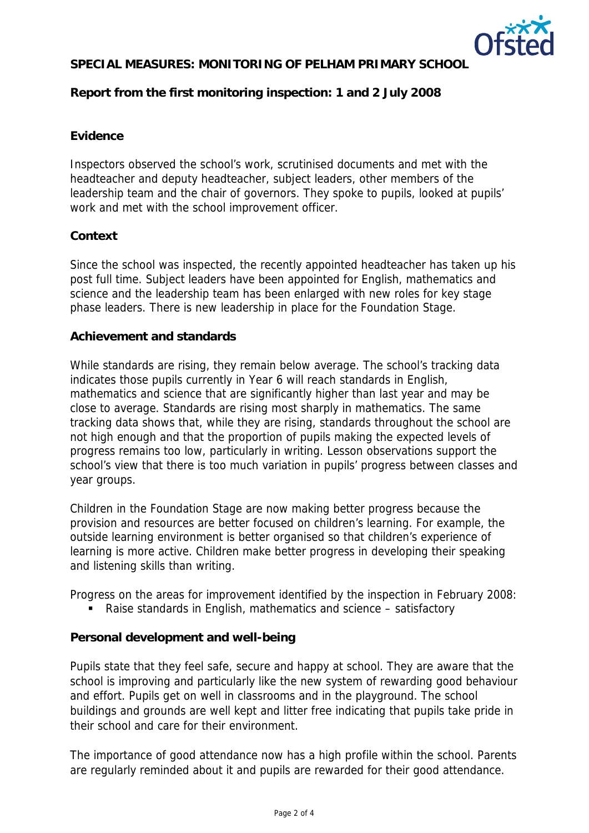

# **SPECIAL MEASURES: MONITORING OF PELHAM PRIMARY SCHOOL**

**Report from the first monitoring inspection: 1 and 2 July 2008**

## **Evidence**

Inspectors observed the school's work, scrutinised documents and met with the headteacher and deputy headteacher, subject leaders, other members of the leadership team and the chair of governors. They spoke to pupils, looked at pupils' work and met with the school improvement officer.

## **Context**

Since the school was inspected, the recently appointed headteacher has taken up his post full time. Subject leaders have been appointed for English, mathematics and science and the leadership team has been enlarged with new roles for key stage phase leaders. There is new leadership in place for the Foundation Stage.

#### **Achievement and standards**

While standards are rising, they remain below average. The school's tracking data indicates those pupils currently in Year 6 will reach standards in English, mathematics and science that are significantly higher than last year and may be close to average. Standards are rising most sharply in mathematics. The same tracking data shows that, while they are rising, standards throughout the school are not high enough and that the proportion of pupils making the expected levels of progress remains too low, particularly in writing. Lesson observations support the school's view that there is too much variation in pupils' progress between classes and year groups.

Children in the Foundation Stage are now making better progress because the provision and resources are better focused on children's learning. For example, the outside learning environment is better organised so that children's experience of learning is more active. Children make better progress in developing their speaking and listening skills than writing.

Progress on the areas for improvement identified by the inspection in February 2008:

Raise standards in English, mathematics and science – satisfactory

# **Personal development and well-being**

Pupils state that they feel safe, secure and happy at school. They are aware that the school is improving and particularly like the new system of rewarding good behaviour and effort. Pupils get on well in classrooms and in the playground. The school buildings and grounds are well kept and litter free indicating that pupils take pride in their school and care for their environment.

The importance of good attendance now has a high profile within the school. Parents are regularly reminded about it and pupils are rewarded for their good attendance.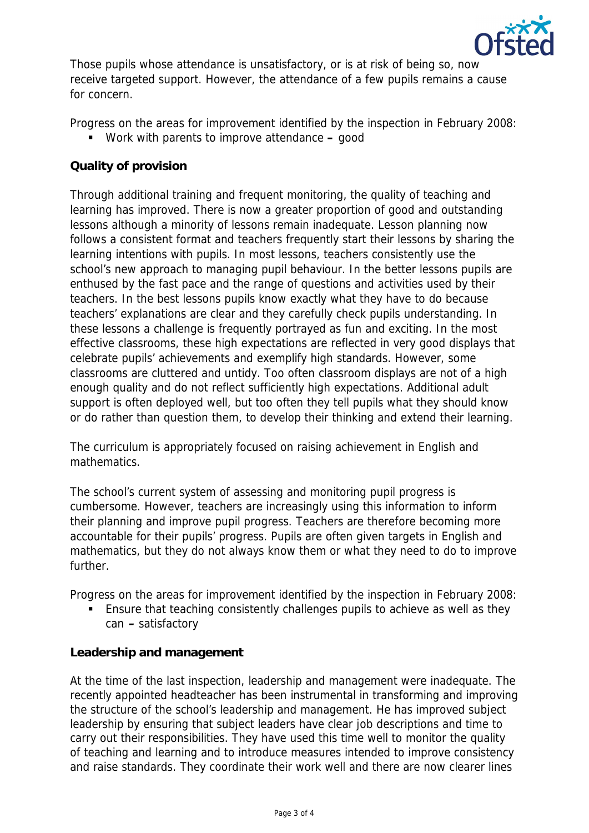

Those pupils whose attendance is unsatisfactory, or is at risk of being so, now receive targeted support. However, the attendance of a few pupils remains a cause for concern.

Progress on the areas for improvement identified by the inspection in February 2008:

Work with parents to improve attendance **–** good

# **Quality of provision**

Through additional training and frequent monitoring, the quality of teaching and learning has improved. There is now a greater proportion of good and outstanding lessons although a minority of lessons remain inadequate. Lesson planning now follows a consistent format and teachers frequently start their lessons by sharing the learning intentions with pupils. In most lessons, teachers consistently use the school's new approach to managing pupil behaviour. In the better lessons pupils are enthused by the fast pace and the range of questions and activities used by their teachers. In the best lessons pupils know exactly what they have to do because teachers' explanations are clear and they carefully check pupils understanding. In these lessons a challenge is frequently portrayed as fun and exciting. In the most effective classrooms, these high expectations are reflected in very good displays that celebrate pupils' achievements and exemplify high standards. However, some classrooms are cluttered and untidy. Too often classroom displays are not of a high enough quality and do not reflect sufficiently high expectations. Additional adult support is often deployed well, but too often they tell pupils what they should know or do rather than question them, to develop their thinking and extend their learning.

The curriculum is appropriately focused on raising achievement in English and mathematics.

The school's current system of assessing and monitoring pupil progress is cumbersome. However, teachers are increasingly using this information to inform their planning and improve pupil progress. Teachers are therefore becoming more accountable for their pupils' progress. Pupils are often given targets in English and mathematics, but they do not always know them or what they need to do to improve further.

Progress on the areas for improvement identified by the inspection in February 2008:

 Ensure that teaching consistently challenges pupils to achieve as well as they can **–** satisfactory

**Leadership and management**

At the time of the last inspection, leadership and management were inadequate. The recently appointed headteacher has been instrumental in transforming and improving the structure of the school's leadership and management. He has improved subject leadership by ensuring that subject leaders have clear job descriptions and time to carry out their responsibilities. They have used this time well to monitor the quality of teaching and learning and to introduce measures intended to improve consistency and raise standards. They coordinate their work well and there are now clearer lines